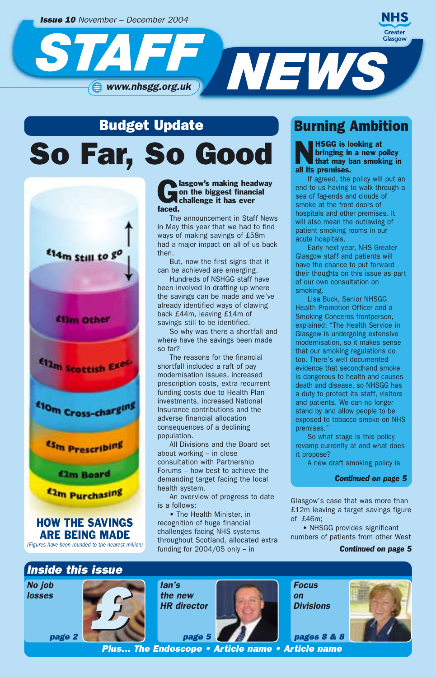

# So Far, So Good Budget Update



ARE BEING MADE *(Figures have been rounded to the nearest million)*

### **Communist Communist Communist Communist Communist Communist Communist Communist Communist Communist Communist Communist Communist Communist Communist Communist Communist Communist Communist Communist Communist Communist C** on the biggest financial faced.

The announcement in Staff News in May this year that we had to find ways of making savings of £58m had a major impact on all of us back then.

But, now the first signs that it can be achieved are emerging.

Hundreds of NSHGG staff have been involved in drafting up where the savings can be made and we've already identified ways of clawing back £44m, leaving £14m of savings still to be identified.

So why was there a shortfall and where have the savings been made so far?

The reasons for the financial shortfall included a raft of pay modernisation issues, increased prescription costs, extra recurrent funding costs due to Health Plan investments, increased National Insurance contributions and the adverse financial allocation consequences of a declining population.

All Divisions and the Board set about working – in close consultation with Partnership Forums – how best to achieve the demanding target facing the local health system.

An overview of progress to date is a follows:

• The Health Minister, in recognition of huge financial challenges facing NHS systems throughout Scotland, allocated extra funding for  $2004/05$  only - in

### Burning Ambition

**NHSGG** is looking at bringing in a new p<br>that may ban smok bringing in a new policy that may ban smoking in all its premises.

If agreed, the policy will put an end to us having to walk through a sea of fag-ends and clouds of smoke at the front doors of hospitals and other premises. It will also mean the outlawing of patient smoking rooms in our acute hospitals.

Early next year, NHS Greater Glasgow staff and patients will have the chance to put forward their thoughts on this issue as part of our own consultation on smoking.

Lisa Buck, Senior NHSGG Health Promotion Officer and a Smoking Concerns frontperson, explained: "The Health Service in Glasgow is undergoing extensive modernisation, so it makes sense that our smoking regulations do too. There's well documented evidence that secondhand smoke is dangerous to health and causes death and disease, so NHSGG has a duty to protect its staff, visitors and patients. We can no longer stand by and allow people to be exposed to tobacco smoke on NHS premises."

So what stage is this policy revamp currently at and what does it propose?

A new draft smoking policy is

*Continued on page 5*

Glasgow's case that was more than £12m leaving a target savings figure of £46m;

• NHSGG provides significant numbers of patients from other West

#### *Continued on page 5*

### *Inside this issue*

*page 2*

*No job losses* *£*

*Ian's the new HR director*



*Focus on Divisions*

*pages 8 & 8*



*Plus… The Endoscope • Article name • Article name*

*page 5*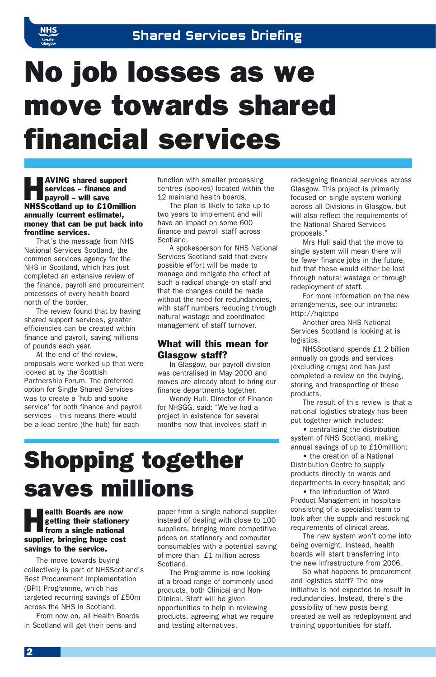

# No job losses as we move towards shared financial services

**AVING shared support**<br>services – finance and<br>payroll – will save services – finance and payroll – will save NHSScotland up to £10million annually (current estimate), money that can be put back into frontline services.

That's the message from NHS National Services Scotland, the common services agency for the NHS in Scotland, which has just completed an extensive review of the finance, payroll and procurement processes of every health board north of the border.

The review found that by having shared support services, greater efficiencies can be created within finance and payroll, saving millions of pounds each year.

At the end of the review, proposals were worked up that were looked at by the Scottish Partnership Forum. The preferred option for Single Shared Services was to create a 'hub and spoke service' for both finance and payroll services – this means there would be a lead centre (the hub) for each

function with smaller processing centres (spokes) located within the 12 mainland health boards.

The plan is likely to take up to two years to implement and will have an impact on some 600 finance and payroll staff across Scotland.

A spokesperson for NHS National Services Scotland said that every possible effort will be made to manage and mitigate the effect of such a radical change on staff and that the changes could be made without the need for redundancies, with staff numbers reducing through natural wastage and coordinated management of staff turnover.

#### What will this mean for Glasgow staff?

In Glasgow, our payroll division was centralised in May 2000 and moves are already afoot to bring our finance departments together.

Wendy Hull, Director of Finance for NHSGG, said: "We've had a project in existence for several months now that involves staff in

# Shopping together saves millions

### **Health Boards are now getting their stationer**<br>from a single national getting their stationery supplier, bringing huge cost savings to the service.

The move towards buying collectively is part of NHSScotland's Best Procurement Implementation (BPI) Programme, which has targeted recurring savings of £50m across the NHS in Scotland.

From now on, all Health Boards in Scotland will get their pens and

paper from a single national supplier instead of dealing with close to 100 suppliers, bringing more competitive prices on stationery and computer consumables with a potential saving of more than £1 million across Scotland.

The Programme is now looking at a broad range of commonly used products, both Clinical and Non-Clinical. Staff will be given opportunities to help in reviewing products, agreeing what we require and testing alternatives.

redesigning financial services across Glasgow. This project is primarily focused on single system working across all Divisions in Glasgow, but will also reflect the requirements of the National Shared Services proposals."

Mrs Hull said that the move to single system will mean there will be fewer finance jobs in the future, but that these would either be lost through natural wastage or through redeployment of staff.

For more information on the new arrangements, see our intranets: http://hqictpo

Another area NHS National Services Scotland is looking at is logistics.

NHSScotland spends £1.2 billion annually on goods and services (excluding drugs) and has just completed a review on the buying, storing and transporting of these products.

The result of this review is that a national logistics strategy has been put together which includes:

• centralising the distribution system of NHS Scotland, making annual savings of up to £10milllion;

• the creation of a National Distribution Centre to supply products directly to wards and departments in every hospital; and

• the introduction of Ward Product Management in hospitals consisting of a specialist team to look after the supply and restocking requirements of clinical areas.

The new system won't come into being overnight. Instead, health boards will start transferring into the new infrastructure from 2006.

So what happens to procurement and logistics staff? The new initiative is not expected to result in redundancies. Instead, there's the possibility of new posts being created as well as redeployment and training opportunities for staff.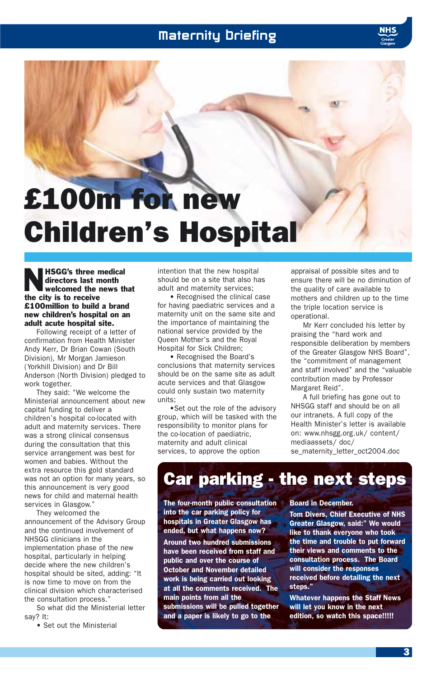### Maternity Briefing

# £100m for new Children's Hospital

NHSGG's three medical directors last month welcomed the news that the city is to receive £100million to build a brand new children's hospital on an adult acute hospital site.

Following receipt of a letter of confirmation from Health Minister Andy Kerr, Dr Brian Cowan (South Division), Mr Morgan Jamieson (Yorkhill Division) and Dr Bill Anderson (North Division) pledged to work together.

They said: "We welcome the Ministerial announcement about new capital funding to deliver a children's hospital co-located with adult and maternity services. There was a strong clinical consensus during the consultation that this service arrangement was best for women and babies. Without the extra resource this gold standard was not an option for many years, so this announcement is very good news for child and maternal health services in Glasgow."

They welcomed the announcement of the Advisory Group and the continued involvement of NHSGG clinicians in the implementation phase of the new hospital, particularly in helping decide where the new children's hospital should be sited, adding: "It is now time to move on from the clinical division which characterised the consultation process."

So what did the Ministerial letter say? It:

• Set out the Ministerial

intention that the new hospital should be on a site that also has adult and maternity services;

• Recognised the clinical case for having paediatric services and a maternity unit on the same site and the importance of maintaining the national service provided by the Queen Mother's and the Royal Hospital for Sick Children;

• Recognised the Board's conclusions that maternity services should be on the same site as adult acute services and that Glasgow could only sustain two maternity units;

•Set out the role of the advisory group, which will be tasked with the responsibility to monitor plans for the co-location of paediatric, maternity and adult clinical services, to approve the option

appraisal of possible sites and to ensure there will be no diminution of the quality of care available to mothers and children up to the time the triple location service is operational.

Mr Kerr concluded his letter by praising the "hard work and responsible deliberation by members of the Greater Glasgow NHS Board", the "commitment of management and staff involved" and the "valuable contribution made by Professor Margaret Reid".

A full briefing has gone out to NHSGG staff and should be on all our intranets. A full copy of the Health Minister's letter is available on: www.nhsgg.org.uk/ content/ mediaassets/ doc/

se\_maternity\_letter\_oct2004.doc

### Car parking - the next steps

The four-month public consultation into the car parking policy for hospitals in Greater Glasgow has ended, but what happens now?

Around two hundred submissions have been received from staff and public and over the course of October and November detailed work is being carried out looking at all the comments received. The main points from all the submissions will be pulled together and a paper is likely to go to the

#### Board in December.

Tom Divers, Chief Executive of NHS Greater Glasgow, said:" We would like to thank everyone who took the time and trouble to put forward their views and comments to the consultation process. The Board will consider the responses received before detailing the next steps."

Whatever happens the Staff News will let you know in the next edition, so watch this space!!!!!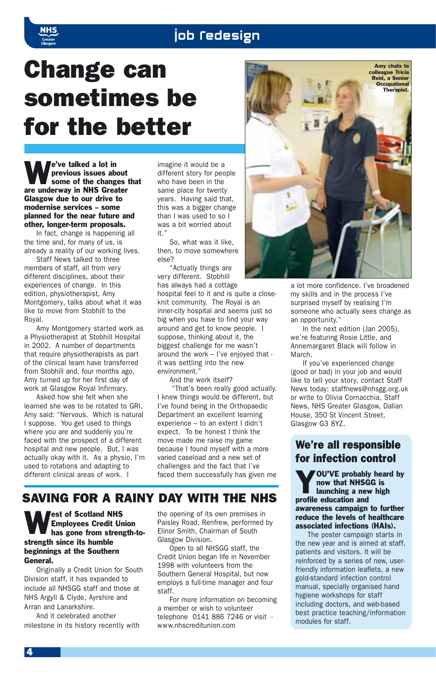### job **redesign**

# Change can sometimes be for the better

e've talked a lot in<br>previous issues about<br>some of the changes that previous issues about are underway in NHS Greater Glasgow due to our drive to modernise services – some planned for the near future and other, longer-term proposals.

In fact, change is happening all the time and, for many of us, is already a reality of our working lives.

Staff News talked to three members of staff, all from very different disciplines, about their experiences of change. In this edition, physiotherapist, Amy Montgomery, talks about what it was like to move from Stobhill to the Royal.

Amy Montgomery started work as a Physiotherapist at Stobhill Hospital in 2002. A number of departments that require physiotherapists as part of the clinical team have transferred from Stobhill and, four months ago, Amy turned up for her first day of work at Glasgow Royal Infirmary.

Asked how she felt when she learned she was to be rotated to GRI, Amy said: "Nervous. Which is natural I suppose. You get used to things where you are and suddenly you're faced with the prospect of a different hospital and new people. But, I was actually okay with it. As a physio, I'm used to rotations and adapting to different clinical areas of work. I

imagine it would be a different story for people who have been in the same place for twenty years. Having said that, this was a bigger change than I was used to so I was a bit worried about it."

So, what was it like, then, to move somewhere else?

"Actually things are very different. Stobhill has always had a cottage

hospital feel to it and is quite a closeknit community. The Royal is an inner-city hospital and seems just so big when you have to find your way around and get to know people. I suppose, thinking about it, the biggest challenge for me wasn't around the work – I've enjoyed that it was settling into the new environment."

And the work itself?

"That's been really good actually. I knew things would be different, but I've found being in the Orthopaedic Department an excellent learning experience – to an extent I didn't expect. To be honest I think the move made me raise my game because I found myself with a more varied caseload and a new set of challenges and the fact that I've faced them successfully has given me

### SAVING FOR A RAINY DAY WITH THE NHS

West of Scotland NHS<br>Employees Credit Units<br>has gone from stren Employees Credit Union has gone from strength-tostrength since its humble beginnings at the Southern General.

Originally a Credit Union for South Division staff, it has expanded to include all NHSGG staff and those at NHS Argyll & Clyde, Ayrshire and Arran and Lanarkshire.

And it celebrated another milestone in its history recently with the opening of its own premises in Paisley Road, Renfrew, performed by Elinor Smith, Chairman of South Glasgow Division.

Open to all NHSGG staff, the Credit Union began life in November 1998 with volunteers from the Southern General Hospital, but now employs a full-time manager and four staff.

For more information on becoming a member or wish to volunteer telephone 0141 886 7246 or visit www.nhscreditunion.com



a lot more confidence. I've broadened my skills and in the process I've surprised myself by realising I'm someone who actually sees change as an opportunity."

In the next edition (Jan 2005), we're featuring Rosie Little, and Annemargaret Black will follow in March.

If you've experienced change (good or bad) in your job and would like to tell your story, contact Staff News today: staffnews@nhsgg.org.uk or write to Olivia Cornacchia, Staff News, NHS Greater Glasgow, Dalian House, 350 St Vincent Street, Glasgow G3 8YZ.

### We're all responsible for infection control

**YOU'VE** probably heard by<br>
now that NHSGG is<br>
launching a new high now that NHSGG is profile education and awareness campaign to further reduce the levels of healthcare associated infections (HAIs).

The poster campaign starts in the new year and is aimed at staff, patients and visitors. It will be reinforced by a series of new, userfriendly information leaflets, a new gold-standard infection control manual, specially organised hand hygiene workshops for staff including doctors, and web-based best practice teaching/information modules for staff.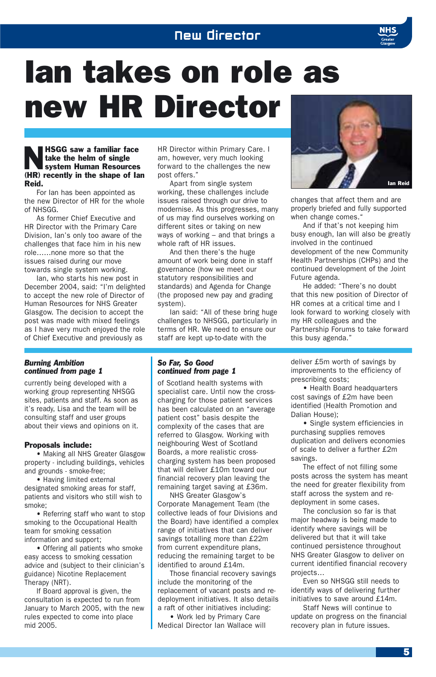### New Director



# Ian takes on role as new HR Director

#### **NHSGG saw a familiar face<br>
system Human Resources**<br>
(III) present is in the interest of the take the helm of single (HR) recently in the shape of Ian Reid.

For Ian has been appointed as the new Director of HR for the whole of NHSGG.

As former Chief Executive and HR Director with the Primary Care Division, Ian's only too aware of the challenges that face him in his new role……none more so that the issues raised during our move towards single system working.

Ian, who starts his new post in December 2004, said: "I'm delighted to accept the new role of Director of Human Resources for NHS Greater Glasgow. The decision to accept the post was made with mixed feelings as I have very much enjoyed the role of Chief Executive and previously as

#### *Burning Ambition continued from page 1*

currently being developed with a working group representing NHSGG sites, patients and staff. As soon as it's ready, Lisa and the team will be consulting staff and user groups about their views and opinions on it.

#### Proposals include:

• Making all NHS Greater Glasgow property - including buildings, vehicles and grounds - smoke-free;

• Having limited external designated smoking areas for staff, patients and visitors who still wish to smoke;

• Referring staff who want to stop smoking to the Occupational Health team for smoking cessation information and support;

• Offering all patients who smoke easy access to smoking cessation advice and (subject to their clinician's guidance) Nicotine Replacement Therapy (NRT).

If Board approval is given, the consultation is expected to run from January to March 2005, with the new rules expected to come into place mid 2005.

HR Director within Primary Care. I am, however, very much looking forward to the challenges the new post offers."

Apart from single system working, these challenges include issues raised through our drive to modernise. As this progresses, many of us may find ourselves working on different sites or taking on new ways of working – and that brings a whole raft of HR issues.

And then there's the huge amount of work being done in staff governance (how we meet our statutory responsibilities and standards) and Agenda for Change (the proposed new pay and grading system).

Ian said: "All of these bring huge challenges to NHSGG, particularly in terms of HR. We need to ensure our staff are kept up-to-date with the



changes that affect them and are properly briefed and fully supported when change comes."

And if that's not keeping him busy enough, Ian will also be greatly involved in the continued development of the new Community Health Partnerships (CHPs) and the continued development of the Joint Future agenda.

He added: "There's no doubt that this new position of Director of HR comes at a critical time and I look forward to working closely with my HR colleagues and the Partnership Forums to take forward this busy agenda."

#### *So Far, So Good continued from page 1*

of Scotland health systems with specialist care. Until now the crosscharging for those patient services has been calculated on an "average patient cost" basis despite the complexity of the cases that are referred to Glasgow. Working with neighbouring West of Scotland Boards, a more realistic crosscharging system has been proposed that will deliver £10m toward our financial recovery plan leaving the remaining target saving at £36m.

NHS Greater Glasgow's Corporate Management Team (the collective leads of four Divisions and the Board) have identified a complex range of initiatives that can deliver savings totalling more than £22m from current expenditure plans, reducing the remaining target to be identified to around £14m.

Those financial recovery savings include the monitoring of the replacement of vacant posts and redeployment initiatives. It also details a raft of other initiatives including:

• Work led by Primary Care Medical Director Ian Wallace will deliver £5m worth of savings by improvements to the efficiency of prescribing costs;

• Health Board headquarters cost savings of £2m have been identified (Health Promotion and Dalian House);

• Single system efficiencies in purchasing supplies removes duplication and delivers economies of scale to deliver a further £2m savings.

The effect of not filling some posts across the system has meant the need for greater flexibility from staff across the system and redeployment in some cases.

The conclusion so far is that major headway is being made to identify where savings will be delivered but that it will take continued persistence throughout NHS Greater Glasgow to deliver on current identified financial recovery projects…

Even so NHSGG still needs to identify ways of delivering further initiatives to save around £14m.

Staff News will continue to update on progress on the financial recovery plan in future issues.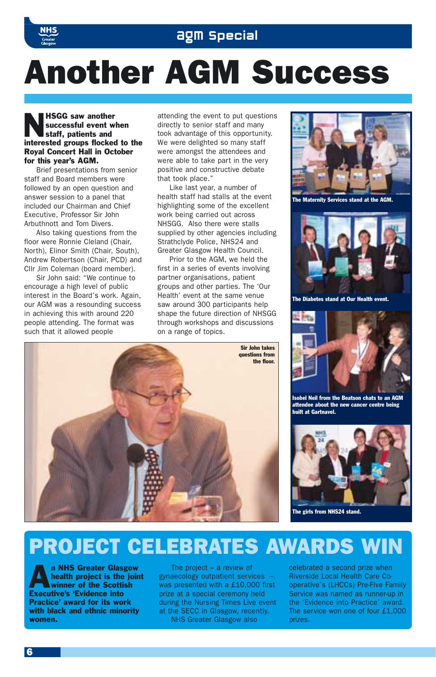

### agm Special

# Another AGM Success

#### **HSGG saw another**<br>successful event w<br>staff, patients and successful event when staff, patients and interested groups flocked to the Royal Concert Hall in October for this year's AGM.

Brief presentations from senior staff and Board members were followed by an open question and answer session to a panel that included our Chairman and Chief Executive, Professor Sir John Arbuthnott and Tom Divers.

Also taking questions from the floor were Ronnie Cleland (Chair, North), Elinor Smith (Chair, South), Andrew Robertson (Chair, PCD) and Cllr Jim Coleman (board member).

Sir John said: "We continue to encourage a high level of public interest in the Board's work. Again, our AGM was a resounding success in achieving this with around 220 people attending. The format was such that it allowed people

attending the event to put questions directly to senior staff and many took advantage of this opportunity. We were delighted so many staff were amongst the attendees and were able to take part in the very positive and constructive debate that took place."

Like last year, a number of health staff had stalls at the event highlighting some of the excellent work being carried out across NHSGG. Also there were stalls supplied by other agencies including Strathclyde Police, NHS24 and Greater Glasgow Health Council.

Prior to the AGM, we held the first in a series of events involving partner organisations, patient groups and other parties. The 'Our Health' event at the same venue saw around 300 participants help shape the future direction of NHSGG through workshops and discussions on a range of topics.





The Maternity Services stand at the AGM.



The Diabetes stand at Our Health event.



Isobel Neil from the Beatson chats to an AGM attendee about the new cancer centre being built at Gartnavel.



The girls from NHS24 stand.

# PROJECT CELEBRATES AWARDS WIN

**An NHS Greater Glasgow<br>health project is the join<br>winner of the Scottish** health project is the joint winner of the Scottish Executive's 'Evidence into Practice' award for its work with black and ethnic minority women.

The project – a review of gynaecology outpatient services – was presented with a £10,000 first prize at a special ceremony held during the Nursing Times Live event at the SECC in Glasgow, recently. NHS Greater Glasgow also

celebrated a second prize when Riverside Local Health Care Cooperative's (LHCCs) Pre-Five Family Service was named as runner-up in the 'Evidence into Practice' award. The service won one of four £1,000 prizes.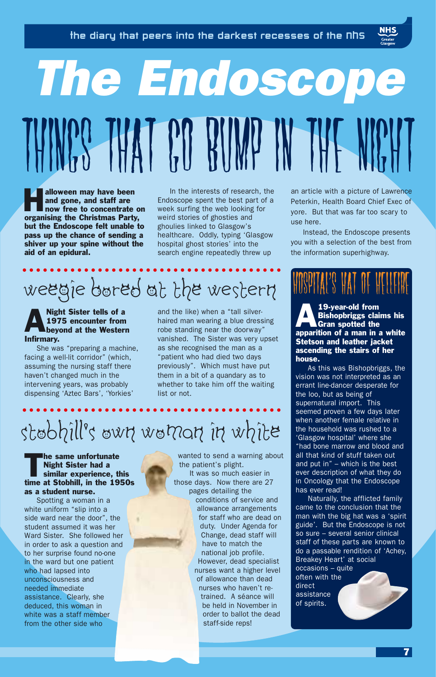# *The Endoscope* THINGS THAT GO BUMP IN THE N

**Halloween may have been** and gone, and staff are now free to concentrate on organising the Christmas Party, but the Endoscope felt unable to pass up the chance of sending a shiver up your spine without the aid of an epidural.

In the interests of research, the Endoscope spent the best part of a week surfing the web looking for weird stories of ghosties and ghoulies linked to Glasgow's healthcare. Oddly, typing 'Glasgow hospital ghost stories' into the search engine repeatedly threw up

# weegie bored at the western

### **ANIGHT Sister tells of a**<br>1975 encounter from<br>beyond at the Western 1975 encounter from Infirmary.

She was "preparing a machine, facing a well-lit corridor" (which, assuming the nursing staff there haven't changed much in the intervening years, was probably dispensing 'Aztec Bars', 'Yorkies'

and the like) when a "tall silverhaired man wearing a blue dressing robe standing near the doorway" vanished. The Sister was very upset as she recognised the man as a "patient who had died two days previously". Which must have put them in a bit of a quandary as to whether to take him off the waiting list or not.

# stobhill's own woman in white

The same unfortunate<br>
Night Sister had a<br>
similar experience, this Night Sister had a time at Stobhill, in the 1950s as a student nurse.

Spotting a woman in a white uniform "slip into a side ward near the door", the student assumed it was her Ward Sister. She followed her in order to ask a question and to her surprise found no-one in the ward but one patient who had lapsed into unconsciousness and needed immediate assistance. Clearly, she deduced, this woman in white was a staff member from the other side who

wanted to send a warning about the patient's plight. It was so much easier in those days. Now there are 27 pages detailing the conditions of service and allowance arrangements for staff who are dead on duty. Under Agenda for

> Change, dead staff will have to match the national job profile. However, dead specialist nurses want a higher level of allowance than dead nurses who haven't retrained. A séance will be held in November in order to ballot the dead staff-side reps!

an article with a picture of Lawrence Peterkin, Health Board Chief Exec of yore. But that was far too scary to use here.

Instead, the Endoscope presents you with a selection of the best from the information superhighway.

19-year-old from<br>Bishopbriggs claim<br>Gran spotted the Bishopbriggs claims his apparition of a man in a white Stetson and leather jacket ascending the stairs of her house.

As this was Bishopbriggs, the vision was not interpreted as an errant line-dancer desperate for the loo, but as being of supernatural import. This seemed proven a few days later when another female relative in the household was rushed to a 'Glasgow hospital' where she "had bone marrow and blood and all that kind of stuff taken out and put in" – which is the best ever description of what they do in Oncology that the Endoscope has ever read!

Naturally, the afflicted family came to the conclusion that the man with the big hat was a 'spirit guide'. But the Endoscope is not so sure – several senior clinical staff of these parts are known to do a passable rendition of 'Achey, Breakey Heart' at social occasions – quite

often with the direct assistance of spirits.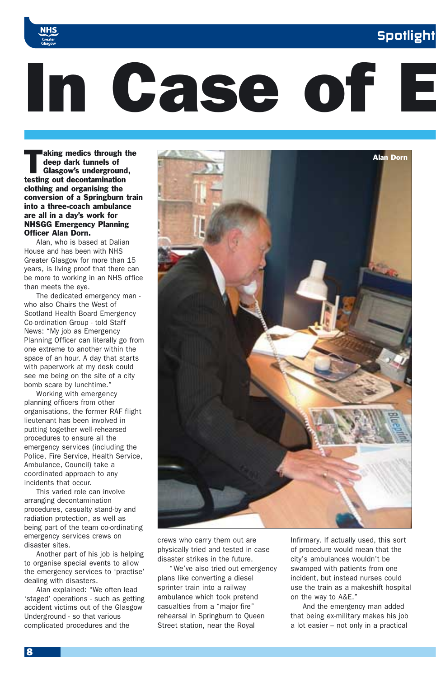### **Spotlight**



# In Case of E

aking medics through the<br>deep dark tunnels of<br>Glasgow's underground, deep dark tunnels of testing out decontamination clothing and organising the conversion of a Springburn train into a three-coach ambulance are all in a day's work for NHSGG Emergency Planning Officer Alan Dorn.

Alan, who is based at Dalian House and has been with NHS Greater Glasgow for more than 15 years, is living proof that there can be more to working in an NHS office than meets the eye.

The dedicated emergency man who also Chairs the West of Scotland Health Board Emergency Co-ordination Group - told Staff News: "My job as Emergency Planning Officer can literally go from one extreme to another within the space of an hour. A day that starts with paperwork at my desk could see me being on the site of a city bomb scare by lunchtime."

Working with emergency planning officers from other organisations, the former RAF flight lieutenant has been involved in putting together well-rehearsed procedures to ensure all the emergency services (including the Police, Fire Service, Health Service, Ambulance, Council) take a coordinated approach to any incidents that occur.

This varied role can involve arranging decontamination procedures, casualty stand-by and radiation protection, as well as being part of the team co-ordinating emergency services crews on disaster sites.

Another part of his job is helping to organise special events to allow the emergency services to 'practise' dealing with disasters.

Alan explained: "We often lead 'staged' operations - such as getting accident victims out of the Glasgow Underground - so that various complicated procedures and the



crews who carry them out are physically tried and tested in case disaster strikes in the future.

"We've also tried out emergency plans like converting a diesel sprinter train into a railway ambulance which took pretend casualties from a "major fire" rehearsal in Springburn to Queen Street station, near the Royal

Infirmary. If actually used, this sort of procedure would mean that the city's ambulances wouldn't be swamped with patients from one incident, but instead nurses could use the train as a makeshift hospital on the way to A&E."

And the emergency man added that being ex-military makes his job a lot easier – not only in a practical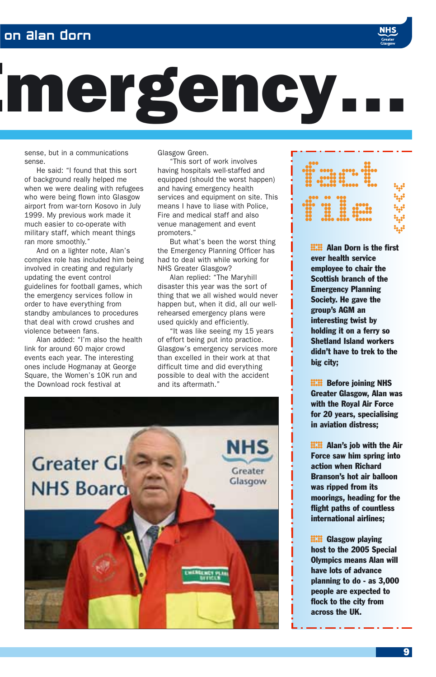### on Alan Dorn



sense, but in a communications sense.

He said: "I found that this sort of background really helped me when we were dealing with refugees who were being flown into Glasgow airport from war-torn Kosovo in July 1999. My previous work made it much easier to co-operate with military staff, which meant things ran more smoothly."

And on a lighter note, Alan's complex role has included him being involved in creating and regularly updating the event control guidelines for football games, which the emergency services follow in order to have everything from standby ambulances to procedures that deal with crowd crushes and violence between fans.

Alan added: "I'm also the health link for around 60 major crowd events each year. The interesting ones include Hogmanay at George Square, the Women's 10K run and the Download rock festival at

Glasgow Green.

"This sort of work involves having hospitals well-staffed and equipped (should the worst happen) and having emergency health services and equipment on site. This means I have to liase with Police, Fire and medical staff and also venue management and event promoters."

But what's been the worst thing the Emergency Planning Officer has had to deal with while working for NHS Greater Glasgow?

Alan replied: "The Maryhill disaster this year was the sort of thing that we all wished would never happen but, when it did, all our wellrehearsed emergency plans were used quickly and efficiently.

"It was like seeing my 15 years of effort being put into practice. Glasgow's emergency services more than excelled in their work at that difficult time and did everything possible to deal with the accident and its aftermath."





**EXII Alan Dorn is the first** ever health service employee to chair the Scottish branch of the Emergency Planning Society. He gave the group's AGM an interesting twist by holding it on a ferry so Shetland Island workers didn't have to trek to the big city;

**EXIE Before joining NHS<br>Greater Glasgow, Alan v**<br>with the Royal Air Force Greater Glasgow, Alan was with the Royal Air Force for 20 years, specialising in aviation distress;

**EXECUTE:** Alan's job with the Air<br>Force saw him spring into<br>action when Richard Force saw him spring into action when Richard Branson's hot air balloon was ripped from its moorings, heading for the flight paths of countless international airlines;

**EXEC** Glasgow playing<br>host to the 2005 Spe<br>Olymnics means Alan host to the 2005 Special Olympics means Alan will have lots of advance planning to do - as 3,000 people are expected to flock to the city from across the UK.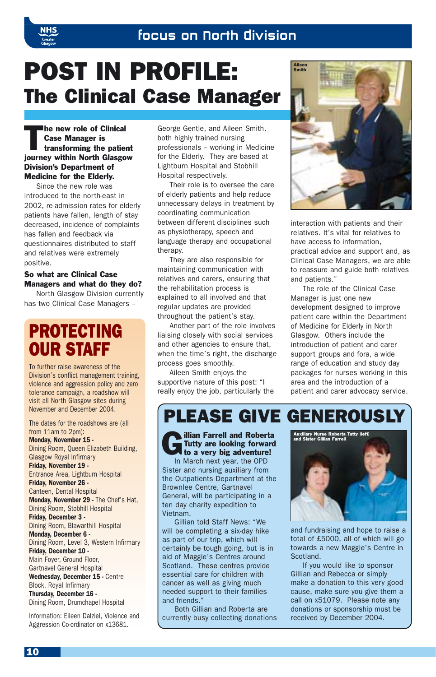# POST IN PROFILE: The Clinical Case Manager

The new role of Clinical<br>
Case Manager is<br>
transforming the patient Case Manager is journey within North Glasgow Division's Department of Medicine for the Elderly.

Since the new role was introduced to the north-east in 2002, re-admission rates for elderly patients have fallen, length of stay decreased, incidence of complaints has fallen and feedback via questionnaires distributed to staff and relatives were extremely positive.

#### So what are Clinical Case Managers and what do they do?

North Glasgow Division currently has two Clinical Case Managers –

### PROTECTING OUR STAFF

To further raise awareness of the Division's conflict management training, violence and aggression policy and zero tolerance campaign, a roadshow will visit all North Glasgow sites during November and December 2004.

The dates for the roadshows are (all from 11am to 2pm):

Monday, November 15 - Dining Room, Queen Elizabeth Building, Glasgow Royal Infirmary Friday, November 19 - Entrance Area, Lightburn Hospital Friday, November 26 - Canteen, Dental Hospital Monday, November 29 - The Chef's Hat, Dining Room, Stobhill Hospital Friday, December 3 - Dining Room, Blawarthill Hospital Monday, December 6 - Dining Room, Level 3, Western Infirmary Friday, December 10 - Main Foyer, Ground Floor, Gartnavel General Hospital Wednesday, December 15 - Centre Block, Royal Infirmary Thursday, December 16 - Dining Room, Drumchapel Hospital

Information: Eileen Dalziel, Violence and Aggression Co-ordinator on x13681.

George Gentle, and Aileen Smith, both highly trained nursing professionals – working in Medicine for the Elderly. They are based at Lightburn Hospital and Stobhill Hospital respectively.

Their role is to oversee the care of elderly patients and help reduce unnecessary delays in treatment by coordinating communication between different disciplines such as physiotherapy, speech and language therapy and occupational therapy.

They are also responsible for maintaining communication with relatives and carers, ensuring that the rehabilitation process is explained to all involved and that regular updates are provided throughout the patient's stay.

Another part of the role involves liaising closely with social services and other agencies to ensure that, when the time's right, the discharge process goes smoothly.

Aileen Smith enjoys the supportive nature of this post: "I really enjoy the job, particularly the



interaction with patients and their relatives. It's vital for relatives to have access to information, practical advice and support and, as Clinical Case Managers, we are able to reassure and guide both relatives and patients."

The role of the Clinical Case Manager is just one new development designed to improve patient care within the Department of Medicine for Elderly in North Glasgow. Others include the introduction of patient and carer support groups and fora, a wide range of education and study day packages for nurses working in this area and the introduction of a patient and carer advocacy service.

### PLEASE GIVE GENEROUSLY

**Communist Farrell and Roberta**<br>Tutty are looking forward<br>to a very big adventure! Tutty are looking forward In March next year, the OPD Sister and nursing auxiliary from the Outpatients Department at the Brownlee Centre, Gartnavel General, will be participating in a ten day charity expedition to Vietnam.

Gillian told Staff News: "We will be completing a six-day hike as part of our trip, which will certainly be tough going, but is in aid of Maggie's Centres around Scotland. These centres provide essential care for children with cancer as well as giving much needed support to their families and friends."

Both Gillian and Roberta are currently busy collecting donations



and fundraising and hope to raise a total of £5000, all of which will go towards a new Maggie's Centre in Scotland.

If you would like to sponsor Gillian and Rebecca or simply make a donation to this very good cause, make sure you give them a call on x51079. Please note any donations or sponsorship must be received by December 2004.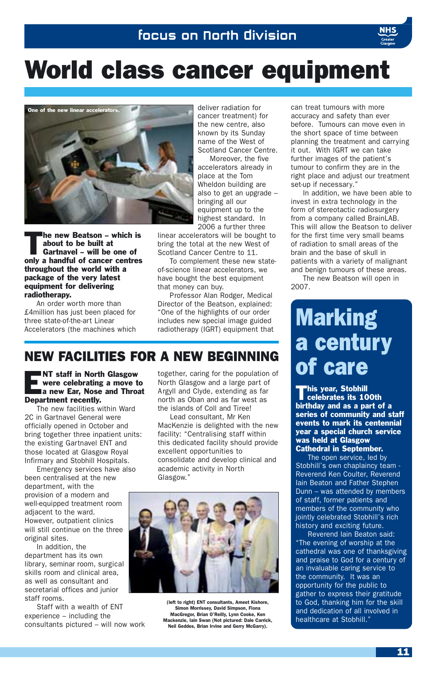# World class cancer equipment



The new Beatson – which is<br>about to be built at<br>Gartnavel – will be one of about to be built at only a handful of cancer centres throughout the world with a package of the very latest equipment for delivering radiotherapy.

An order worth more than £4million has just been placed for three state-of-the-art Linear Accelerators (the machines which deliver radiation for cancer treatment) for the new centre, also known by its Sunday name of the West of Scotland Cancer Centre.

Moreover, the five accelerators already in place at the Tom Wheldon building are also to get an upgrade – bringing all our equipment up to the highest standard. In 2006 a further three

linear accelerators will be bought to bring the total at the new West of Scotland Cancer Centre to 11.

To complement these new stateof-science linear accelerators, we have bought the best equipment that money can buy.

Professor Alan Rodger, Medical Director of the Beatson, explained: "One of the highlights of our order includes new special image guided radiotherapy (IGRT) equipment that

### NEW FACILITIES FOR A NEW BEGINNING

were celebrating a move to a new Ear, Nose and Throat Department recently.

The new facilities within Ward 2C in Gartnavel General were officially opened in October and bring together three inpatient units: the existing Gartnavel ENT and those located at Glasgow Royal Infirmary and Stobhill Hospitals.

Emergency services have also been centralised at the new department, with the provision of a modern and well-equipped treatment room adiacent to the ward. However, outpatient clinics will still continue on the three original sites.

In addition, the department has its own library, seminar room, surgical skills room and clinical area, as well as consultant and secretarial offices and junior staff rooms.

Staff with a wealth of ENT experience – including the consultants pictured – will now work

**ENT staff in North Glasgow** together, caring for the population of<br> **OF CAPE**<br> **ENT staff in North Glasgow and a large part of<br>
<b>ENT CAPE**<br> **ENT Staff in North Glasgow and a large part of<br>
Argyll and Clyde, extending as f** together, caring for the population of North Glasgow and a large part of Argyll and Clyde, extending as far north as Oban and as far west as the islands of Coll and Tiree!

Lead consultant, Mr Ken MacKenzie is delighted with the new facility: "Centralising staff within this dedicated facility should provide excellent opportunities to consolidate and develop clinical and academic activity in North Glasgow."



(left to right) ENT consultants, Ameet Kishore, Simon Morrissey, David Simpson, Fiona MacGregor, Brian O'Reilly, Lynn Cooke, Ken Mackenzie, Iain Swan (Not pictured: Dale Carrick, Neil Geddes, Brian Irvine and Gerry McGarry).

can treat tumours with more accuracy and safety than ever before. Tumours can move even in the short space of time between planning the treatment and carrying it out. With IGRT we can take further images of the patient's tumour to confirm they are in the right place and adjust our treatment set-up if necessary."

In addition, we have been able to invest in extra technology in the form of stereotactic radiosurgery from a company called BrainLAB. This will allow the Beatson to deliver for the first time very small beams of radiation to small areas of the brain and the base of skull in patients with a variety of malignant and benign tumours of these areas.

The new Beatson will open in 2007.

# Marking a century<br>of care

'his year, Stobhill celebrates its 100th birthday and as a part of a series of community and staff events to mark its centennial year a special church service was held at Glasgow Cathedral in September.

The open service, led by Stobhill's own chaplaincy team -Reverend Ken Coulter, Reverend Iain Beaton and Father Stephen Dunn – was attended by members of staff, former patients and members of the community who iointly celebrated Stobhill's rich history and exciting future.

Reverend Iain Beaton said: "The evening of worship at the cathedral was one of thanksgiving and praise to God for a century of an invaluable caring service to the community. It was an opportunity for the public to gather to express their gratitude to God, thanking him for the skill and dedication of all involved in healthcare at Stobhill.'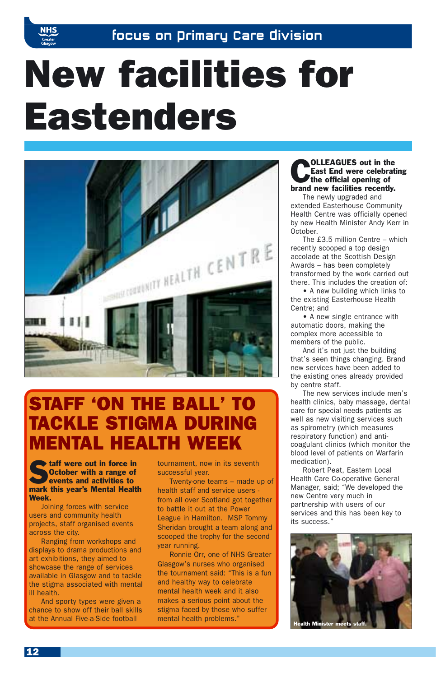

# New facilities for Eastenders



### STAFF 'ON THE BALL' TO TACKLE STIGMA DURING ENTAL HEALTH WEI

**Staff were out in force in**<br>**October with a range of**<br>**events and activities to** October with a range of events and activities to mark this year's Mental Health Week.

Joining forces with service users and community health projects, staff organised events across the city.

Ranging from workshops and displays to drama productions and art exhibitions, they aimed to showcase the range of services available in Glasgow and to tackle the stigma associated with mental ill health.

And sporty types were given a chance to show off their ball skills at the Annual Five-a-Side football

tournament, now in its seventh successful year.

Twenty-one teams – made up of health staff and service users from all over Scotland got together to battle it out at the Power League in Hamilton. MSP Tommy Sheridan brought a team along and scooped the trophy for the second year running.

Ronnie Orr, one of NHS Greater Glasgow's nurses who organised the tournament said: "This is a fun and healthy way to celebrate mental health week and it also makes a serious point about the stigma faced by those who suffer mental health problems."

### **COLLEAGUES** out in the<br>East End were celebrat<br>the official opening of East End were celebrating brand new facilities recently.

The newly upgraded and extended Easterhouse Community Health Centre was officially opened by new Health Minister Andy Kerr in October.

The £3.5 million Centre – which recently scooped a top design accolade at the Scottish Design Awards – has been completely transformed by the work carried out there. This includes the creation of:

• A new building which links to the existing Easterhouse Health Centre; and

• A new single entrance with automatic doors, making the complex more accessible to members of the public.

And it's not just the building that's seen things changing. Brand new services have been added to the existing ones already provided by centre staff.

The new services include men's health clinics, baby massage, dental care for special needs patients as well as new visiting services such as spirometry (which measures respiratory function) and anticoagulant clinics (which monitor the blood level of patients on Warfarin medication).

Robert Peat, Eastern Local Health Care Co-operative General Manager, said; "We developed the new Centre very much in partnership with users of our services and this has been key to its success."

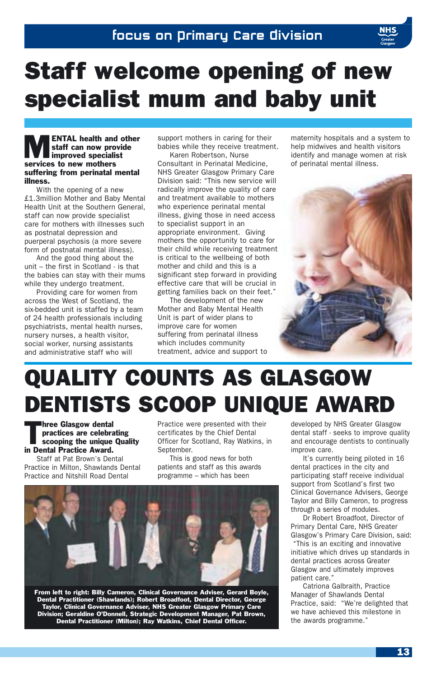# Staff welcome opening of new specialist mum and baby unit

#### **ENTAL health and other** staff can now provide improved specialist services to new mothers suffering from perinatal mental illness.

With the opening of a new £1.3million Mother and Baby Mental Health Unit at the Southern General, staff can now provide specialist care for mothers with illnesses such as postnatal depression and puerperal psychosis (a more severe form of postnatal mental illness).

And the good thing about the unit – the first in Scotland - is that the babies can stay with their mums while they undergo treatment.

Providing care for women from across the West of Scotland, the six-bedded unit is staffed by a team of 24 health professionals including psychiatrists, mental health nurses, nursery nurses, a health visitor, social worker, nursing assistants and administrative staff who will

support mothers in caring for their babies while they receive treatment.

Karen Robertson, Nurse Consultant in Perinatal Medicine, NHS Greater Glasgow Primary Care Division said: "This new service will radically improve the quality of care and treatment available to mothers who experience perinatal mental illness, giving those in need access to specialist support in an appropriate environment. Giving mothers the opportunity to care for their child while receiving treatment is critical to the wellbeing of both mother and child and this is a significant step forward in providing effective care that will be crucial in getting families back on their feet."

The development of the new Mother and Baby Mental Health Unit is part of wider plans to improve care for women suffering from perinatal illness which includes community treatment, advice and support to maternity hospitals and a system to help midwives and health visitors identify and manage women at risk of perinatal mental illness.



# QUALITY COUNTS AS GLASGOW DENTISTS SCOOP UNIQUE AWARD

**Three Glasgow dental<br>practices are celebra**<br>scooping the unique practices are celebrating scooping the unique Quality in Dental Practice Award.

Staff at Pat Brown's Dental Practice in Milton, Shawlands Dental Practice and Nitshill Road Dental

Practice were presented with their certificates by the Chief Dental Officer for Scotland, Ray Watkins, in September.

This is good news for both patients and staff as this awards programme – which has been



From left to right: Billy Cameron, Clinical Governance Adviser, Gerard Boyle, Dental Practitioner (Shawlands); Robert Broadfoot, Dental Director, George Taylor, Clinical Governance Adviser, NHS Greater Glasgow Primary Care Division; Geraldine O'Donnell, Strategic Development Manager, Pat Brown, Dental Practitioner (Milton); Ray Watkins, Chief Dental Officer.

developed by NHS Greater Glasgow dental staff - seeks to improve quality and encourage dentists to continually improve care.

It's currently being piloted in 16 dental practices in the city and participating staff receive individual support from Scotland's first two Clinical Governance Advisers, George Taylor and Billy Cameron, to progress through a series of modules.

Dr Robert Broadfoot, Director of Primary Dental Care, NHS Greater Glasgow's Primary Care Division, said: "This is an exciting and innovative initiative which drives up standards in dental practices across Greater Glasgow and ultimately improves patient care."

Catriona Galbraith, Practice Manager of Shawlands Dental Practice, said: "We're delighted that we have achieved this milestone in the awards programme."

13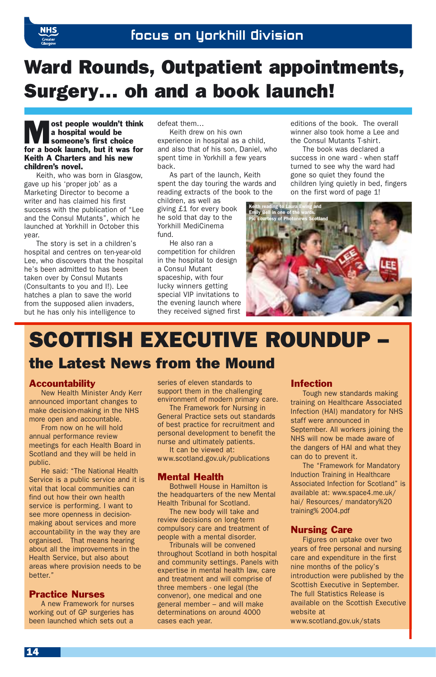

### Ward Rounds, Outpatient appointments, Surgery… oh and a book launch!

ost people wouldn't think a hospital would be someone's first choice for a book launch, but it was for Keith A Charters and his new children's novel.

Keith, who was born in Glasgow, gave up his 'proper job' as a Marketing Director to become a writer and has claimed his first success with the publication of "Lee and the Consul Mutants", which he launched at Yorkhill in October this year.

The story is set in a children's hospital and centres on ten-year-old Lee, who discovers that the hospital he's been admitted to has been taken over by Consul Mutants (Consultants to you and I!). Lee hatches a plan to save the world from the supposed alien invaders, but he has only his intelligence to

defeat them…

Keith drew on his own experience in hospital as a child and also that of his son, Daniel, who spent time in Yorkhill a few years back.

As part of the launch, Keith spent the day touring the wards and reading extracts of the book to the

children, as well as giving £1 for every book he sold that day to the Yorkhill MediCinema fund.

He also ran a competition for children in the hospital to design a Consul Mutant spaceship, with four lucky winners getting special VIP invitations to the evening launch where they received signed first editions of the book. The overall winner also took home a Lee and the Consul Mutants T-shirt.

The book was declared a success in one ward - when staff turned to see why the ward had gone so quiet they found the children lying quietly in bed, fingers on the first word of page 1!



# SCOTTISH EXECUTIVE ROUNDUP

### the Latest News from the Mound

#### **Accountability**

New Health Minister Andy Kerr announced important changes to make decision-making in the NHS more open and accountable.

From now on he will hold annual performance review meetings for each Health Board in Scotland and they will be held in public.

He said: "The National Health Service is a public service and it is vital that local communities can find out how their own health service is performing. I want to see more openness in decisionmaking about services and more accountability in the way they are organised. That means hearing about all the improvements in the Health Service, but also about areas where provision needs to be better."

#### Practice Nurses

A new Framework for nurses working out of GP surgeries has been launched which sets out a

series of eleven standards to support them in the challenging environment of modern primary care.

The Framework for Nursing in General Practice sets out standards of best practice for recruitment and personal development to benefit the nurse and ultimately patients.

It can be viewed at: www.scotland.gov.uk/publications

#### Mental Health

Bothwell House in Hamilton is the headquarters of the new Mental Health Tribunal for Scotland.

The new body will take and review decisions on long-term compulsory care and treatment of people with a mental disorder.

Tribunals will be convened throughout Scotland in both hospital and community settings. Panels with expertise in mental health law, care and treatment and will comprise of three members - one legal (the convenor), one medical and one general member – and will make determinations on around 4000 cases each year.

#### Infection

Tough new standards making training on Healthcare Associated Infection (HAI) mandatory for NHS staff were announced in September. All workers joining the NHS will now be made aware of the dangers of HAI and what they can do to prevent it.

The "Framework for Mandatory Induction Training in Healthcare Associated Infection for Scotland" is available at: www.space4.me.uk/ hai/ Resources/ mandatory%20 training% 2004.pdf

#### Nursing Care

Figures on uptake over two years of free personal and nursing care and expenditure in the first nine months of the policy's introduction were published by the Scottish Executive in September. The full Statistics Release is available on the Scottish Executive website at

www.scotland.gov.uk/stats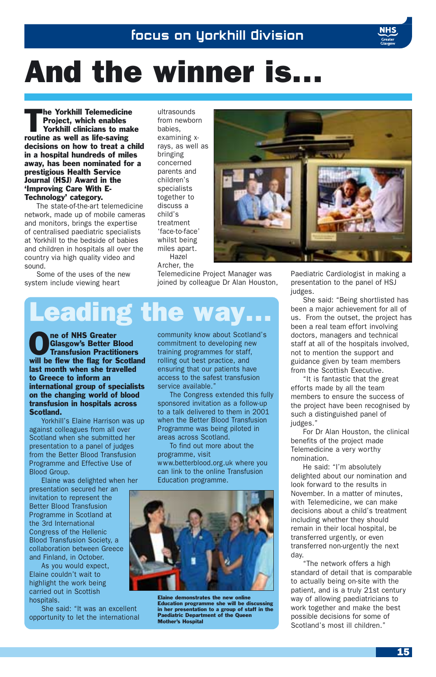# And the winner is…

The Yorkhill Telemedicine<br>Project, which enables<br>Yorkhill clinicians to make Project, which enables Yorkhill clinicians to make routine as well as life-saving decisions on how to treat a child in a hospital hundreds of miles away, has been nominated for a prestigious Health Service Journal (HSJ) Award in the 'Improving Care With E-Technology' category.

The state-of-the-art telemedicine network, made up of mobile cameras and monitors, brings the expertise of centralised paediatric specialists at Yorkhill to the bedside of babies and children in hospitals all over the country via high quality video and sound.

Some of the uses of the new system include viewing heart

ultrasounds from newborn babies, examining xrays, as well as bringing concerned parents and children's specialists together to discuss a child's treatment 'face-to-face' whilst being miles apart. Hazel Archer, the

Telemedicine Project Manager was joined by colleague Dr Alan Houston,

# Leading the way…

**OREGIST OF STATE OF STATE SCHOOL**<br>Transfusion Practitioners<br>
Will be flatter flatter Costles Glasgow's Better Blood will be flew the flag for Scotland last month when she travelled to Greece to inform an international group of specialists on the changing world of blood transfusion in hospitals across Scotland.

Yorkhill's Elaine Harrison was up against colleagues from all over Scotland when she submitted her presentation to a panel of judges from the Better Blood Transfusion Programme and Effective Use of Blood Group.

Elaine was delighted when her presentation secured her an invitation to represent the Better Blood Transfusion Programme in Scotland at the 3rd International Congress of the Hellenic Blood Transfusion Society, a collaboration between Greece and Finland, in October.

As you would expect, Elaine couldn't wait to highlight the work being carried out in Scottish hospitals.

She said: "It was an excellent opportunity to let the international community know about Scotland's commitment to developing new training programmes for staff, rolling out best practice, and ensuring that our patients have access to the safest transfusion service available."

The Congress extended this fully sponsored invitation as a follow-up to a talk delivered to them in 2001 when the Better Blood Transfusion Programme was being piloted in areas across Scotland.

To find out more about the programme, visit www.betterblood.org.uk where you can link to the online Transfusion Education programme.



Elaine demonstrates the new online Education programme she will be discussing in her presentation to a group of staff in the Paediatric Department of the Queen Mother's Hospital

Paediatric Cardiologist in making a presentation to the panel of HSJ judges.

She said: "Being shortlisted has been a major achievement for all of us. From the outset, the project has been a real team effort involving doctors, managers and technical staff at all of the hospitals involved, not to mention the support and guidance given by team members from the Scottish Executive.

"It is fantastic that the great efforts made by all the team members to ensure the success of the project have been recognised by such a distinguished panel of judges."

For Dr Alan Houston, the clinical benefits of the project made Telemedicine a very worthy nomination.

He said: "I'm absolutely delighted about our nomination and look forward to the results in November. In a matter of minutes, with Telemedicine, we can make decisions about a child's treatment including whether they should remain in their local hospital, be transferred urgently, or even transferred non-urgently the next day.

"The network offers a high standard of detail that is comparable to actually being on-site with the patient, and is a truly 21st century way of allowing paediatricians to work together and make the best possible decisions for some of Scotland's most ill children."